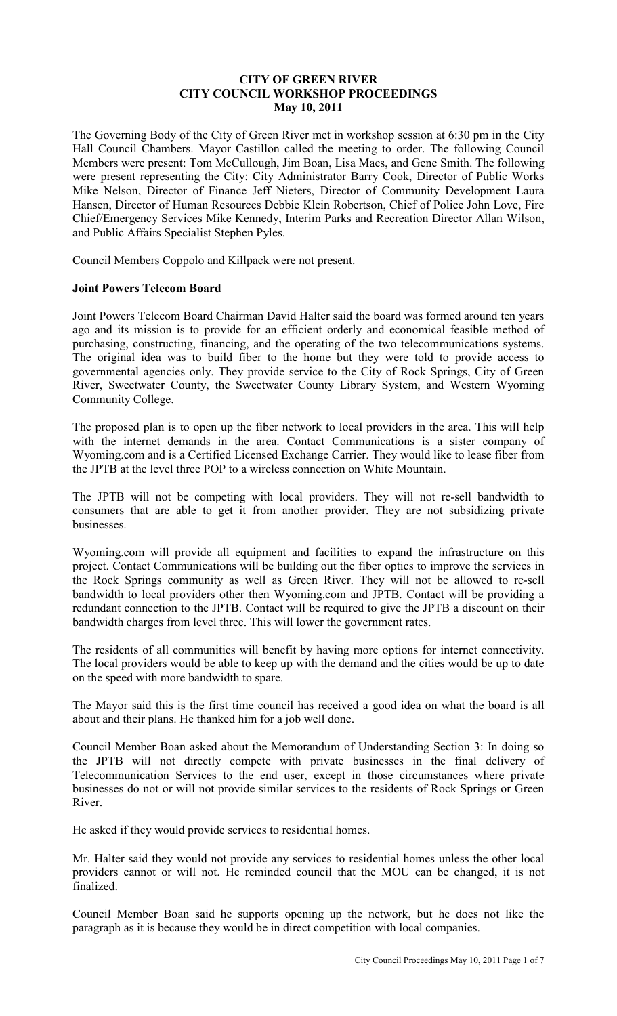#### **CITY OF GREEN RIVER CITY COUNCIL WORKSHOP PROCEEDINGS May 10, 2011**

The Governing Body of the City of Green River met in workshop session at 6:30 pm in the City Hall Council Chambers. Mayor Castillon called the meeting to order. The following Council Members were present: Tom McCullough, Jim Boan, Lisa Maes, and Gene Smith. The following were present representing the City: City Administrator Barry Cook, Director of Public Works Mike Nelson, Director of Finance Jeff Nieters, Director of Community Development Laura Hansen, Director of Human Resources Debbie Klein Robertson, Chief of Police John Love, Fire Chief/Emergency Services Mike Kennedy, Interim Parks and Recreation Director Allan Wilson, and Public Affairs Specialist Stephen Pyles.

Council Members Coppolo and Killpack were not present.

#### **Joint Powers Telecom Board**

Joint Powers Telecom Board Chairman David Halter said the board was formed around ten years ago and its mission is to provide for an efficient orderly and economical feasible method of purchasing, constructing, financing, and the operating of the two telecommunications systems. The original idea was to build fiber to the home but they were told to provide access to governmental agencies only. They provide service to the City of Rock Springs, City of Green River, Sweetwater County, the Sweetwater County Library System, and Western Wyoming Community College.

The proposed plan is to open up the fiber network to local providers in the area. This will help with the internet demands in the area. Contact Communications is a sister company of Wyoming.com and is a Certified Licensed Exchange Carrier. They would like to lease fiber from the JPTB at the level three POP to a wireless connection on White Mountain.

The JPTB will not be competing with local providers. They will not re-sell bandwidth to consumers that are able to get it from another provider. They are not subsidizing private businesses.

Wyoming.com will provide all equipment and facilities to expand the infrastructure on this project. Contact Communications will be building out the fiber optics to improve the services in the Rock Springs community as well as Green River. They will not be allowed to re-sell bandwidth to local providers other then Wyoming.com and JPTB. Contact will be providing a redundant connection to the JPTB. Contact will be required to give the JPTB a discount on their bandwidth charges from level three. This will lower the government rates.

The residents of all communities will benefit by having more options for internet connectivity. The local providers would be able to keep up with the demand and the cities would be up to date on the speed with more bandwidth to spare.

The Mayor said this is the first time council has received a good idea on what the board is all about and their plans. He thanked him for a job well done.

Council Member Boan asked about the Memorandum of Understanding Section 3: In doing so the JPTB will not directly compete with private businesses in the final delivery of Telecommunication Services to the end user, except in those circumstances where private businesses do not or will not provide similar services to the residents of Rock Springs or Green River.

He asked if they would provide services to residential homes.

Mr. Halter said they would not provide any services to residential homes unless the other local providers cannot or will not. He reminded council that the MOU can be changed, it is not finalized.

Council Member Boan said he supports opening up the network, but he does not like the paragraph as it is because they would be in direct competition with local companies.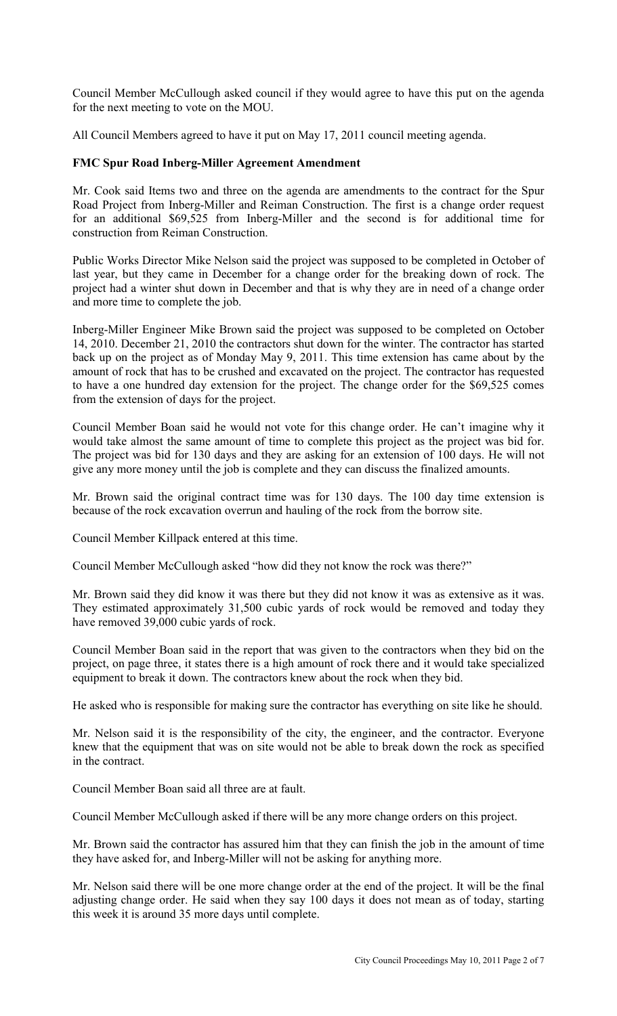Council Member McCullough asked council if they would agree to have this put on the agenda for the next meeting to vote on the MOU.

All Council Members agreed to have it put on May 17, 2011 council meeting agenda.

## **FMC Spur Road Inberg-Miller Agreement Amendment**

Mr. Cook said Items two and three on the agenda are amendments to the contract for the Spur Road Project from Inberg-Miller and Reiman Construction. The first is a change order request for an additional \$69,525 from Inberg-Miller and the second is for additional time for construction from Reiman Construction.

Public Works Director Mike Nelson said the project was supposed to be completed in October of last year, but they came in December for a change order for the breaking down of rock. The project had a winter shut down in December and that is why they are in need of a change order and more time to complete the job.

Inberg-Miller Engineer Mike Brown said the project was supposed to be completed on October 14, 2010. December 21, 2010 the contractors shut down for the winter. The contractor has started back up on the project as of Monday May 9, 2011. This time extension has came about by the amount of rock that has to be crushed and excavated on the project. The contractor has requested to have a one hundred day extension for the project. The change order for the \$69,525 comes from the extension of days for the project.

Council Member Boan said he would not vote for this change order. He can't imagine why it would take almost the same amount of time to complete this project as the project was bid for. The project was bid for 130 days and they are asking for an extension of 100 days. He will not give any more money until the job is complete and they can discuss the finalized amounts.

Mr. Brown said the original contract time was for 130 days. The 100 day time extension is because of the rock excavation overrun and hauling of the rock from the borrow site.

Council Member Killpack entered at this time.

Council Member McCullough asked "how did they not know the rock was there?"

Mr. Brown said they did know it was there but they did not know it was as extensive as it was. They estimated approximately 31,500 cubic yards of rock would be removed and today they have removed 39,000 cubic yards of rock.

Council Member Boan said in the report that was given to the contractors when they bid on the project, on page three, it states there is a high amount of rock there and it would take specialized equipment to break it down. The contractors knew about the rock when they bid.

He asked who is responsible for making sure the contractor has everything on site like he should.

Mr. Nelson said it is the responsibility of the city, the engineer, and the contractor. Everyone knew that the equipment that was on site would not be able to break down the rock as specified in the contract.

Council Member Boan said all three are at fault.

Council Member McCullough asked if there will be any more change orders on this project.

Mr. Brown said the contractor has assured him that they can finish the job in the amount of time they have asked for, and Inberg-Miller will not be asking for anything more.

Mr. Nelson said there will be one more change order at the end of the project. It will be the final adjusting change order. He said when they say 100 days it does not mean as of today, starting this week it is around 35 more days until complete.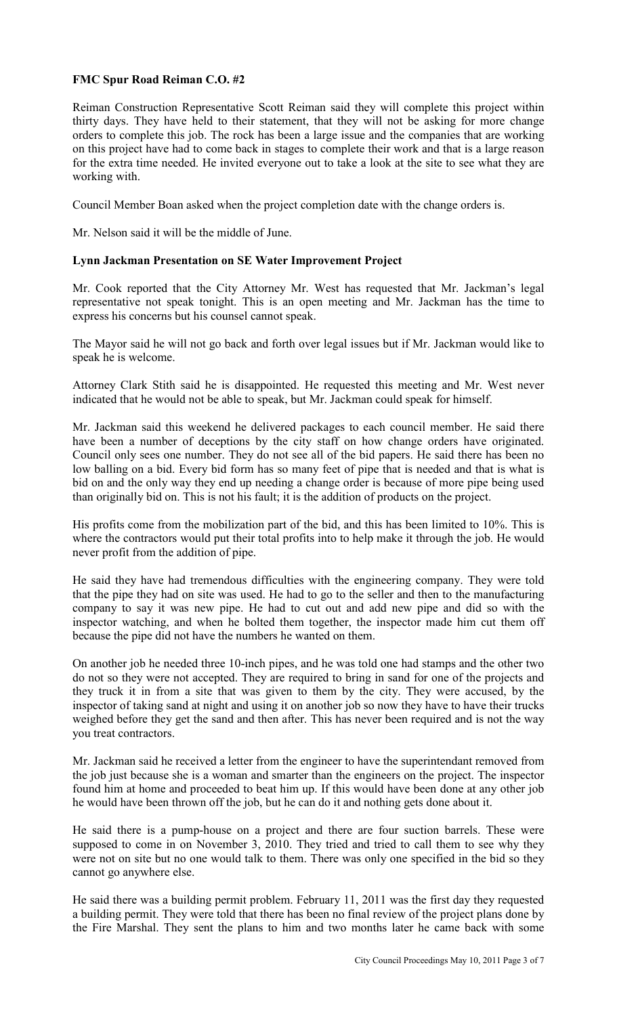## **FMC Spur Road Reiman C.O. #2**

Reiman Construction Representative Scott Reiman said they will complete this project within thirty days. They have held to their statement, that they will not be asking for more change orders to complete this job. The rock has been a large issue and the companies that are working on this project have had to come back in stages to complete their work and that is a large reason for the extra time needed. He invited everyone out to take a look at the site to see what they are working with.

Council Member Boan asked when the project completion date with the change orders is.

Mr. Nelson said it will be the middle of June.

#### **Lynn Jackman Presentation on SE Water Improvement Project**

Mr. Cook reported that the City Attorney Mr. West has requested that Mr. Jackman's legal representative not speak tonight. This is an open meeting and Mr. Jackman has the time to express his concerns but his counsel cannot speak.

The Mayor said he will not go back and forth over legal issues but if Mr. Jackman would like to speak he is welcome.

Attorney Clark Stith said he is disappointed. He requested this meeting and Mr. West never indicated that he would not be able to speak, but Mr. Jackman could speak for himself.

Mr. Jackman said this weekend he delivered packages to each council member. He said there have been a number of deceptions by the city staff on how change orders have originated. Council only sees one number. They do not see all of the bid papers. He said there has been no low balling on a bid. Every bid form has so many feet of pipe that is needed and that is what is bid on and the only way they end up needing a change order is because of more pipe being used than originally bid on. This is not his fault; it is the addition of products on the project.

His profits come from the mobilization part of the bid, and this has been limited to 10%. This is where the contractors would put their total profits into to help make it through the job. He would never profit from the addition of pipe.

He said they have had tremendous difficulties with the engineering company. They were told that the pipe they had on site was used. He had to go to the seller and then to the manufacturing company to say it was new pipe. He had to cut out and add new pipe and did so with the inspector watching, and when he bolted them together, the inspector made him cut them off because the pipe did not have the numbers he wanted on them.

On another job he needed three 10-inch pipes, and he was told one had stamps and the other two do not so they were not accepted. They are required to bring in sand for one of the projects and they truck it in from a site that was given to them by the city. They were accused, by the inspector of taking sand at night and using it on another job so now they have to have their trucks weighed before they get the sand and then after. This has never been required and is not the way you treat contractors.

Mr. Jackman said he received a letter from the engineer to have the superintendant removed from the job just because she is a woman and smarter than the engineers on the project. The inspector found him at home and proceeded to beat him up. If this would have been done at any other job he would have been thrown off the job, but he can do it and nothing gets done about it.

He said there is a pump-house on a project and there are four suction barrels. These were supposed to come in on November 3, 2010. They tried and tried to call them to see why they were not on site but no one would talk to them. There was only one specified in the bid so they cannot go anywhere else.

He said there was a building permit problem. February 11, 2011 was the first day they requested a building permit. They were told that there has been no final review of the project plans done by the Fire Marshal. They sent the plans to him and two months later he came back with some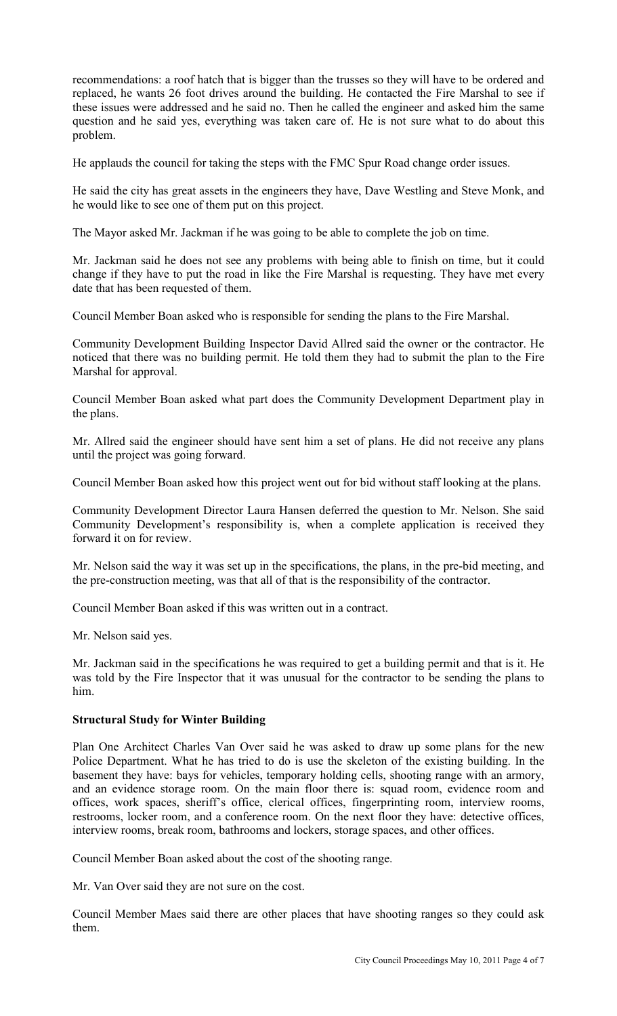recommendations: a roof hatch that is bigger than the trusses so they will have to be ordered and replaced, he wants 26 foot drives around the building. He contacted the Fire Marshal to see if these issues were addressed and he said no. Then he called the engineer and asked him the same question and he said yes, everything was taken care of. He is not sure what to do about this problem.

He applauds the council for taking the steps with the FMC Spur Road change order issues.

He said the city has great assets in the engineers they have, Dave Westling and Steve Monk, and he would like to see one of them put on this project.

The Mayor asked Mr. Jackman if he was going to be able to complete the job on time.

Mr. Jackman said he does not see any problems with being able to finish on time, but it could change if they have to put the road in like the Fire Marshal is requesting. They have met every date that has been requested of them.

Council Member Boan asked who is responsible for sending the plans to the Fire Marshal.

Community Development Building Inspector David Allred said the owner or the contractor. He noticed that there was no building permit. He told them they had to submit the plan to the Fire Marshal for approval.

Council Member Boan asked what part does the Community Development Department play in the plans.

Mr. Allred said the engineer should have sent him a set of plans. He did not receive any plans until the project was going forward.

Council Member Boan asked how this project went out for bid without staff looking at the plans.

Community Development Director Laura Hansen deferred the question to Mr. Nelson. She said Community Development's responsibility is, when a complete application is received they forward it on for review.

Mr. Nelson said the way it was set up in the specifications, the plans, in the pre-bid meeting, and the pre-construction meeting, was that all of that is the responsibility of the contractor.

Council Member Boan asked if this was written out in a contract.

Mr. Nelson said yes.

Mr. Jackman said in the specifications he was required to get a building permit and that is it. He was told by the Fire Inspector that it was unusual for the contractor to be sending the plans to him.

#### **Structural Study for Winter Building**

Plan One Architect Charles Van Over said he was asked to draw up some plans for the new Police Department. What he has tried to do is use the skeleton of the existing building. In the basement they have: bays for vehicles, temporary holding cells, shooting range with an armory, and an evidence storage room. On the main floor there is: squad room, evidence room and offices, work spaces, sheriff's office, clerical offices, fingerprinting room, interview rooms, restrooms, locker room, and a conference room. On the next floor they have: detective offices, interview rooms, break room, bathrooms and lockers, storage spaces, and other offices.

Council Member Boan asked about the cost of the shooting range.

Mr. Van Over said they are not sure on the cost.

Council Member Maes said there are other places that have shooting ranges so they could ask them.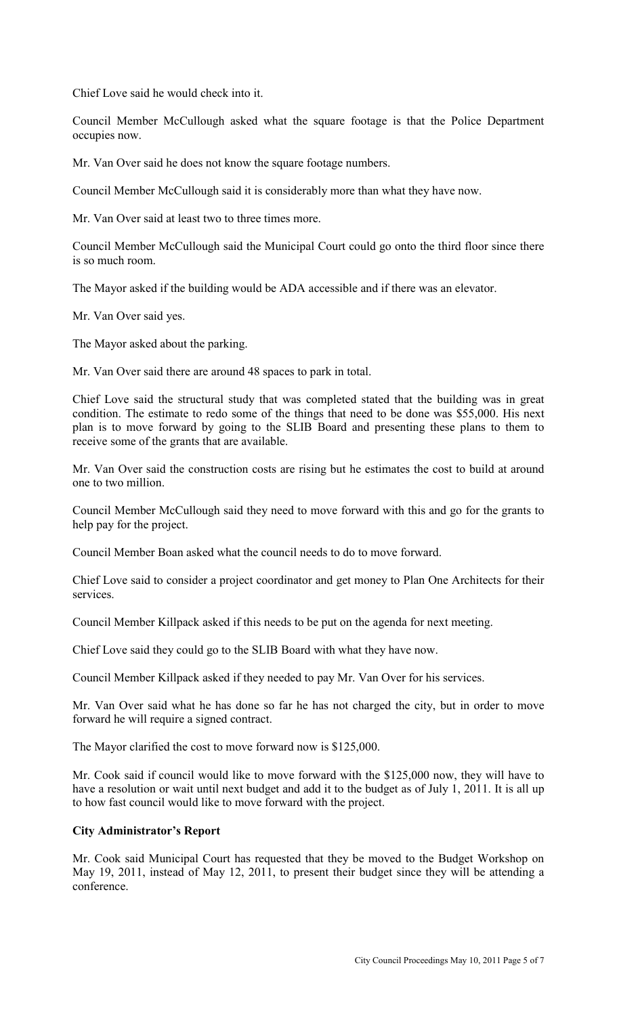Chief Love said he would check into it.

Council Member McCullough asked what the square footage is that the Police Department occupies now.

Mr. Van Over said he does not know the square footage numbers.

Council Member McCullough said it is considerably more than what they have now.

Mr. Van Over said at least two to three times more.

Council Member McCullough said the Municipal Court could go onto the third floor since there is so much room.

The Mayor asked if the building would be ADA accessible and if there was an elevator.

Mr. Van Over said yes.

The Mayor asked about the parking.

Mr. Van Over said there are around 48 spaces to park in total.

Chief Love said the structural study that was completed stated that the building was in great condition. The estimate to redo some of the things that need to be done was \$55,000. His next plan is to move forward by going to the SLIB Board and presenting these plans to them to receive some of the grants that are available.

Mr. Van Over said the construction costs are rising but he estimates the cost to build at around one to two million.

Council Member McCullough said they need to move forward with this and go for the grants to help pay for the project.

Council Member Boan asked what the council needs to do to move forward.

Chief Love said to consider a project coordinator and get money to Plan One Architects for their services.

Council Member Killpack asked if this needs to be put on the agenda for next meeting.

Chief Love said they could go to the SLIB Board with what they have now.

Council Member Killpack asked if they needed to pay Mr. Van Over for his services.

Mr. Van Over said what he has done so far he has not charged the city, but in order to move forward he will require a signed contract.

The Mayor clarified the cost to move forward now is \$125,000.

Mr. Cook said if council would like to move forward with the \$125,000 now, they will have to have a resolution or wait until next budget and add it to the budget as of July 1, 2011. It is all up to how fast council would like to move forward with the project.

#### **City Administrator's Report**

Mr. Cook said Municipal Court has requested that they be moved to the Budget Workshop on May 19, 2011, instead of May 12, 2011, to present their budget since they will be attending a conference.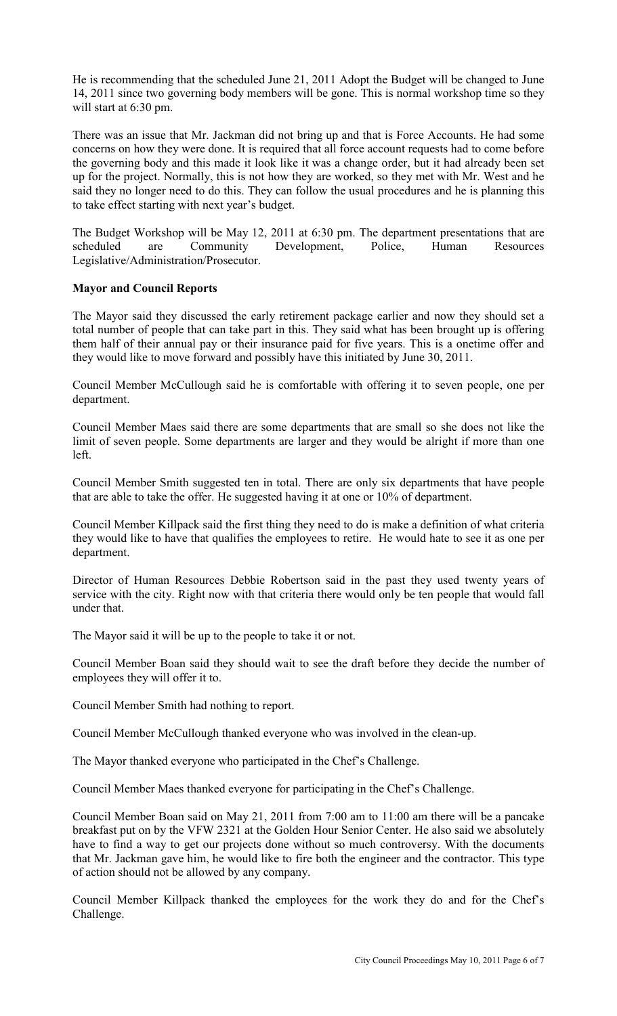He is recommending that the scheduled June 21, 2011 Adopt the Budget will be changed to June 14, 2011 since two governing body members will be gone. This is normal workshop time so they will start at 6:30 pm.

There was an issue that Mr. Jackman did not bring up and that is Force Accounts. He had some concerns on how they were done. It is required that all force account requests had to come before the governing body and this made it look like it was a change order, but it had already been set up for the project. Normally, this is not how they are worked, so they met with Mr. West and he said they no longer need to do this. They can follow the usual procedures and he is planning this to take effect starting with next year's budget.

The Budget Workshop will be May 12, 2011 at 6:30 pm. The department presentations that are scheduled are Community Development, Police, Human Resources Legislative/Administration/Prosecutor.

#### **Mayor and Council Reports**

The Mayor said they discussed the early retirement package earlier and now they should set a total number of people that can take part in this. They said what has been brought up is offering them half of their annual pay or their insurance paid for five years. This is a onetime offer and they would like to move forward and possibly have this initiated by June 30, 2011.

Council Member McCullough said he is comfortable with offering it to seven people, one per department.

Council Member Maes said there are some departments that are small so she does not like the limit of seven people. Some departments are larger and they would be alright if more than one left.

Council Member Smith suggested ten in total. There are only six departments that have people that are able to take the offer. He suggested having it at one or 10% of department.

Council Member Killpack said the first thing they need to do is make a definition of what criteria they would like to have that qualifies the employees to retire. He would hate to see it as one per department.

Director of Human Resources Debbie Robertson said in the past they used twenty years of service with the city. Right now with that criteria there would only be ten people that would fall under that.

The Mayor said it will be up to the people to take it or not.

Council Member Boan said they should wait to see the draft before they decide the number of employees they will offer it to.

Council Member Smith had nothing to report.

Council Member McCullough thanked everyone who was involved in the clean-up.

The Mayor thanked everyone who participated in the Chef's Challenge.

Council Member Maes thanked everyone for participating in the Chef's Challenge.

Council Member Boan said on May 21, 2011 from 7:00 am to 11:00 am there will be a pancake breakfast put on by the VFW 2321 at the Golden Hour Senior Center. He also said we absolutely have to find a way to get our projects done without so much controversy. With the documents that Mr. Jackman gave him, he would like to fire both the engineer and the contractor. This type of action should not be allowed by any company.

Council Member Killpack thanked the employees for the work they do and for the Chef's Challenge.